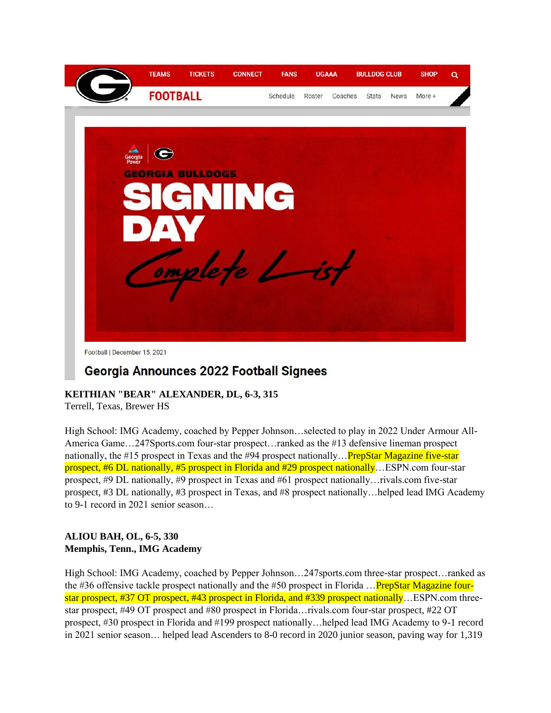

# Georgia Announces 2022 Football Signees

# **KEITHIAN "BEAR" ALEXANDER, DL, 6-3, 315**

Terrell, Texas, Brewer HS

High School: IMG Academy, coached by Pepper Johnson…selected to play in 2022 Under Armour All-America Game…247Sports.com four-star prospect…ranked as the #13 defensive lineman prospect nationally, the #15 prospect in Texas and the #94 prospect nationally… **PrepStar Magazine five-star** prospect, #6 DL nationally, #5 prospect in Florida and #29 prospect nationally…ESPN.com four-star prospect, #9 DL nationally, #9 prospect in Texas and #61 prospect nationally…rivals.com five-star prospect, #3 DL nationally, #3 prospect in Texas, and #8 prospect nationally…helped lead IMG Academy to 9-1 record in 2021 senior season…

## **ALIOU BAH, OL, 6-5, 330 Memphis, Tenn., IMG Academy**

High School: IMG Academy, coached by Pepper Johnson…247sports.com three-star prospect…ranked as the #36 offensive tackle prospect nationally and the #50 prospect in Florida  $\ldots$ PrepStar Magazine fourstar prospect, #37 OT prospect, #43 prospect in Florida, and #339 prospect nationally…ESPN.com threestar prospect, #49 OT prospect and #80 prospect in Florida…rivals.com four-star prospect, #22 OT prospect, #30 prospect in Florida and #199 prospect nationally…helped lead IMG Academy to 9-1 record in 2021 senior season… helped lead Ascenders to 8-0 record in 2020 junior season, paving way for 1,319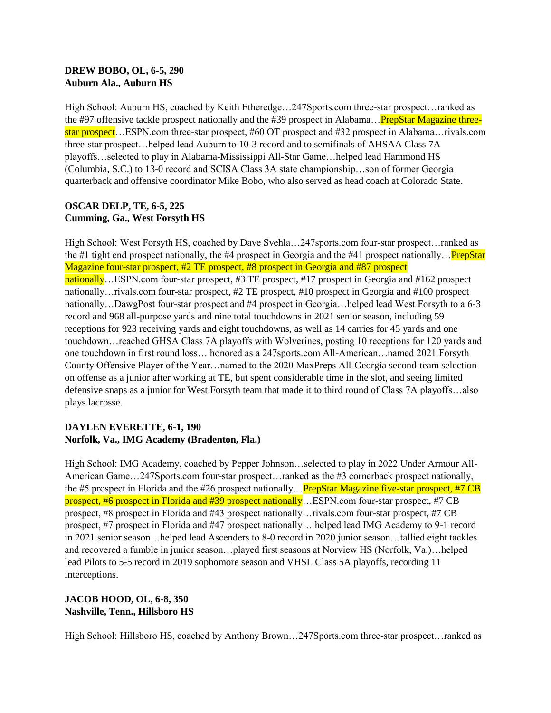#### **DREW BOBO, OL, 6-5, 290 Auburn Ala., Auburn HS**

High School: Auburn HS, coached by Keith Etheredge…247Sports.com three-star prospect…ranked as the #97 offensive tackle prospect nationally and the #39 prospect in Alabama... PrepStar Magazine threestar prospect...ESPN.com three-star prospect, #60 OT prospect and #32 prospect in Alabama... rivals.com three-star prospect…helped lead Auburn to 10-3 record and to semifinals of AHSAA Class 7A playoffs…selected to play in Alabama-Mississippi All-Star Game…helped lead Hammond HS (Columbia, S.C.) to 13-0 record and SCISA Class 3A state championship…son of former Georgia quarterback and offensive coordinator Mike Bobo, who also served as head coach at Colorado State.

#### **OSCAR DELP, TE, 6-5, 225 Cumming, Ga., West Forsyth HS**

High School: West Forsyth HS, coached by Dave Svehla…247sports.com four-star prospect…ranked as the #1 tight end prospect nationally, the #4 prospect in Georgia and the #41 prospect nationally… **PrepStar** Magazine four-star prospect, #2 TE prospect, #8 prospect in Georgia and #87 prospect nationally...ESPN.com four-star prospect, #3 TE prospect, #17 prospect in Georgia and #162 prospect nationally…rivals.com four-star prospect, #2 TE prospect, #10 prospect in Georgia and #100 prospect nationally…DawgPost four-star prospect and #4 prospect in Georgia…helped lead West Forsyth to a 6-3 record and 968 all-purpose yards and nine total touchdowns in 2021 senior season, including 59 receptions for 923 receiving yards and eight touchdowns, as well as 14 carries for 45 yards and one touchdown…reached GHSA Class 7A playoffs with Wolverines, posting 10 receptions for 120 yards and one touchdown in first round loss… honored as a 247sports.com All-American…named 2021 Forsyth County Offensive Player of the Year…named to the 2020 MaxPreps All-Georgia second-team selection on offense as a junior after working at TE, but spent considerable time in the slot, and seeing limited defensive snaps as a junior for West Forsyth team that made it to third round of Class 7A playoffs…also plays lacrosse.

#### **DAYLEN EVERETTE, 6-1, 190 Norfolk, Va., IMG Academy (Bradenton, Fla.)**

High School: IMG Academy, coached by Pepper Johnson…selected to play in 2022 Under Armour All-American Game...247Sports.com four-star prospect...ranked as the #3 cornerback prospect nationally, the #5 prospect in Florida and the #26 prospect nationally…PrepStar Magazine five-star prospect, #7 CB prospect, #6 prospect in Florida and #39 prospect nationally...ESPN.com four-star prospect, #7 CB prospect, #8 prospect in Florida and #43 prospect nationally…rivals.com four-star prospect, #7 CB prospect, #7 prospect in Florida and #47 prospect nationally… helped lead IMG Academy to 9-1 record in 2021 senior season…helped lead Ascenders to 8-0 record in 2020 junior season…tallied eight tackles and recovered a fumble in junior season…played first seasons at Norview HS (Norfolk, Va.)…helped lead Pilots to 5-5 record in 2019 sophomore season and VHSL Class 5A playoffs, recording 11 interceptions.

## **JACOB HOOD, OL, 6-8, 350 Nashville, Tenn., Hillsboro HS**

High School: Hillsboro HS, coached by Anthony Brown…247Sports.com three-star prospect…ranked as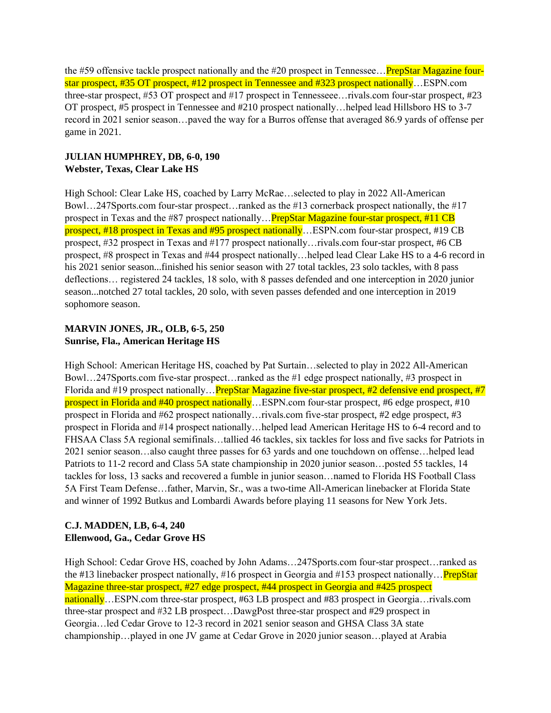the #59 offensive tackle prospect nationally and the #20 prospect in Tennessee... PrepStar Magazine fourstar prospect, #35 OT prospect, #12 prospect in Tennessee and #323 prospect nationally…ESPN.com three-star prospect, #53 OT prospect and #17 prospect in Tennesseee…rivals.com four-star prospect, #23 OT prospect, #5 prospect in Tennessee and #210 prospect nationally…helped lead Hillsboro HS to 3-7 record in 2021 senior season…paved the way for a Burros offense that averaged 86.9 yards of offense per game in 2021.

# **JULIAN HUMPHREY, DB, 6-0, 190 Webster, Texas, Clear Lake HS**

High School: Clear Lake HS, coached by Larry McRae…selected to play in 2022 All-American Bowl…247Sports.com four-star prospect…ranked as the #13 cornerback prospect nationally, the #17 prospect in Texas and the #87 prospect nationally…PrepStar Magazine four-star prospect, #11 CB prospect, #18 prospect in Texas and #95 prospect nationally…ESPN.com four-star prospect, #19 CB prospect, #32 prospect in Texas and #177 prospect nationally…rivals.com four-star prospect, #6 CB prospect, #8 prospect in Texas and #44 prospect nationally…helped lead Clear Lake HS to a 4-6 record in his 2021 senior season...finished his senior season with 27 total tackles, 23 solo tackles, with 8 pass deflections… registered 24 tackles, 18 solo, with 8 passes defended and one interception in 2020 junior season...notched 27 total tackles, 20 solo, with seven passes defended and one interception in 2019 sophomore season.

# **MARVIN JONES, JR., OLB, 6-5, 250 Sunrise, Fla., American Heritage HS**

High School: American Heritage HS, coached by Pat Surtain…selected to play in 2022 All-American Bowl…247Sports.com five-star prospect…ranked as the #1 edge prospect nationally, #3 prospect in Florida and #19 prospect nationally… PrepStar Magazine five-star prospect, #2 defensive end prospect, #7 prospect in Florida and #40 prospect nationally…ESPN.com four-star prospect, #6 edge prospect, #10 prospect in Florida and #62 prospect nationally…rivals.com five-star prospect, #2 edge prospect, #3 prospect in Florida and #14 prospect nationally…helped lead American Heritage HS to 6-4 record and to FHSAA Class 5A regional semifinals…tallied 46 tackles, six tackles for loss and five sacks for Patriots in 2021 senior season…also caught three passes for 63 yards and one touchdown on offense…helped lead Patriots to 11-2 record and Class 5A state championship in 2020 junior season…posted 55 tackles, 14 tackles for loss, 13 sacks and recovered a fumble in junior season…named to Florida HS Football Class 5A First Team Defense…father, Marvin, Sr., was a two-time All-American linebacker at Florida State and winner of 1992 Butkus and Lombardi Awards before playing 11 seasons for New York Jets.

# **C.J. MADDEN, LB, 6-4, 240 Ellenwood, Ga., Cedar Grove HS**

High School: Cedar Grove HS, coached by John Adams…247Sports.com four-star prospect…ranked as the #13 linebacker prospect nationally, #16 prospect in Georgia and #153 prospect nationally… PrepStar Magazine three-star prospect, #27 edge prospect, #44 prospect in Georgia and #425 prospect nationally...ESPN.com three-star prospect, #63 LB prospect and #83 prospect in Georgia... rivals.com three-star prospect and #32 LB prospect…DawgPost three-star prospect and #29 prospect in Georgia…led Cedar Grove to 12-3 record in 2021 senior season and GHSA Class 3A state championship…played in one JV game at Cedar Grove in 2020 junior season…played at Arabia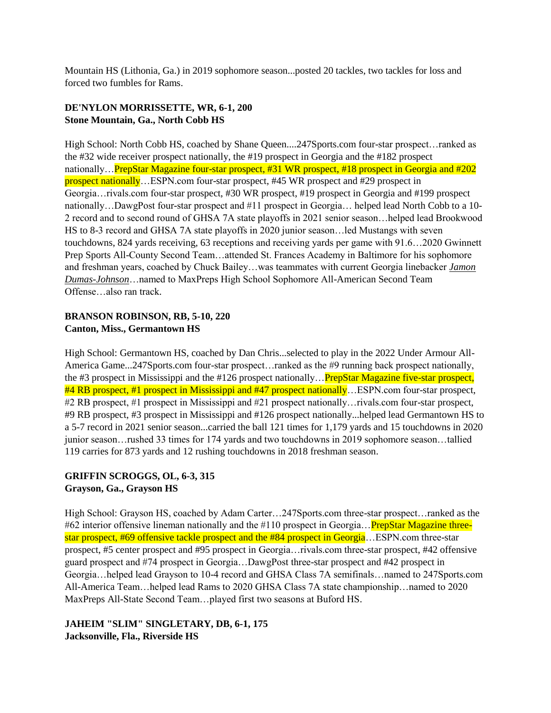Mountain HS (Lithonia, Ga.) in 2019 sophomore season...posted 20 tackles, two tackles for loss and forced two fumbles for Rams.

# **DE'NYLON MORRISSETTE, WR, 6-1, 200 Stone Mountain, Ga., North Cobb HS**

High School: North Cobb HS, coached by Shane Queen....247Sports.com four-star prospect…ranked as the #32 wide receiver prospect nationally, the #19 prospect in Georgia and the #182 prospect nationally…PrepStar Magazine four-star prospect, #31 WR prospect, #18 prospect in Georgia and #202 prospect nationally...ESPN.com four-star prospect, #45 WR prospect and #29 prospect in Georgia…rivals.com four-star prospect, #30 WR prospect, #19 prospect in Georgia and #199 prospect nationally…DawgPost four-star prospect and #11 prospect in Georgia… helped lead North Cobb to a 10- 2 record and to second round of GHSA 7A state playoffs in 2021 senior season…helped lead Brookwood HS to 8-3 record and GHSA 7A state playoffs in 2020 junior season…led Mustangs with seven touchdowns, 824 yards receiving, 63 receptions and receiving yards per game with 91.6…2020 Gwinnett Prep Sports All-County Second Team…attended St. Frances Academy in Baltimore for his sophomore and freshman years, coached by Chuck Bailey…was teammates with current Georgia linebacker *[Jamon](https://georgiadogs.com/roster.aspx?rp_id=5374)  [Dumas-Johnson](https://georgiadogs.com/roster.aspx?rp_id=5374)*…named to MaxPreps High School Sophomore All-American Second Team Offense…also ran track.

#### **BRANSON ROBINSON, RB, 5-10, 220 Canton, Miss., Germantown HS**

High School: Germantown HS, coached by Dan Chris...selected to play in the 2022 Under Armour All-America Game...247Sports.com four-star prospect…ranked as the #9 running back prospect nationally, the #3 prospect in Mississippi and the #126 prospect nationally… **PrepStar Magazine five-star prospect**, #4 RB prospect, #1 prospect in Mississippi and #47 prospect nationally...ESPN.com four-star prospect, #2 RB prospect, #1 prospect in Mississippi and #21 prospect nationally…rivals.com four-star prospect, #9 RB prospect, #3 prospect in Mississippi and #126 prospect nationally...helped lead Germantown HS to a 5-7 record in 2021 senior season...carried the ball 121 times for 1,179 yards and 15 touchdowns in 2020 junior season…rushed 33 times for 174 yards and two touchdowns in 2019 sophomore season…tallied 119 carries for 873 yards and 12 rushing touchdowns in 2018 freshman season.

# **GRIFFIN SCROGGS, OL, 6-3, 315 Grayson, Ga., Grayson HS**

High School: Grayson HS, coached by Adam Carter…247Sports.com three-star prospect…ranked as the #62 interior offensive lineman nationally and the #110 prospect in Georgia... **PrepStar Magazine three**star prospect, #69 offensive tackle prospect and the #84 prospect in Georgia...ESPN.com three-star prospect, #5 center prospect and #95 prospect in Georgia…rivals.com three-star prospect, #42 offensive guard prospect and #74 prospect in Georgia…DawgPost three-star prospect and #42 prospect in Georgia…helped lead Grayson to 10-4 record and GHSA Class 7A semifinals…named to 247Sports.com All-America Team…helped lead Rams to 2020 GHSA Class 7A state championship…named to 2020 MaxPreps All-State Second Team…played first two seasons at Buford HS.

# **JAHEIM "SLIM" SINGLETARY, DB, 6-1, 175 Jacksonville, Fla., Riverside HS**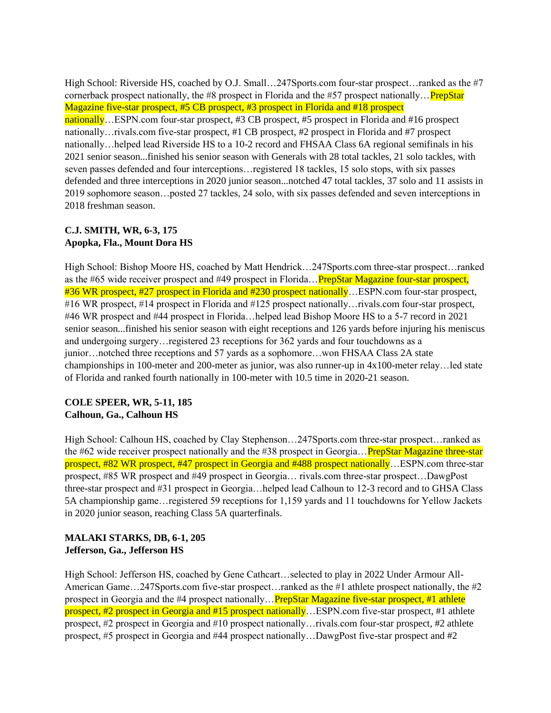High School: Riverside HS, coached by O.J. Small…247Sports.com four-star prospect…ranked as the #7 cornerback prospect nationally, the #8 prospect in Florida and the #57 prospect nationally… **PrepStar** Magazine five-star prospect, #5 CB prospect, #3 prospect in Florida and #18 prospect nationally…ESPN.com four-star prospect, #3 CB prospect, #5 prospect in Florida and #16 prospect nationally…rivals.com five-star prospect, #1 CB prospect, #2 prospect in Florida and #7 prospect nationally…helped lead Riverside HS to a 10-2 record and FHSAA Class 6A regional semifinals in his 2021 senior season...finished his senior season with Generals with 28 total tackles, 21 solo tackles, with seven passes defended and four interceptions…registered 18 tackles, 15 solo stops, with six passes defended and three interceptions in 2020 junior season...notched 47 total tackles, 37 solo and 11 assists in 2019 sophomore season…posted 27 tackles, 24 solo, with six passes defended and seven interceptions in 2018 freshman season.

# **C.J. SMITH, WR, 6-3, 175 Apopka, Fla., Mount Dora HS**

High School: Bishop Moore HS, coached by Matt Hendrick…247Sports.com three-star prospect…ranked as the #65 wide receiver prospect and #49 prospect in Florida… **PrepStar Magazine four-star prospect**, #36 WR prospect, #27 prospect in Florida and #230 prospect nationally…ESPN.com four-star prospect, #16 WR prospect, #14 prospect in Florida and #125 prospect nationally…rivals.com four-star prospect, #46 WR prospect and #44 prospect in Florida…helped lead Bishop Moore HS to a 5-7 record in 2021 senior season...finished his senior season with eight receptions and 126 yards before injuring his meniscus and undergoing surgery…registered 23 receptions for 362 yards and four touchdowns as a junior…notched three receptions and 57 yards as a sophomore…won FHSAA Class 2A state championships in 100-meter and 200-meter as junior, was also runner-up in 4x100-meter relay…led state of Florida and ranked fourth nationally in 100-meter with 10.5 time in 2020-21 season.

## **COLE SPEER, WR, 5-11, 185 Calhoun, Ga., Calhoun HS**

High School: Calhoun HS, coached by Clay Stephenson…247Sports.com three-star prospect…ranked as the #62 wide receiver prospect nationally and the #38 prospect in Georgia... PrepStar Magazine three-star prospect, #82 WR prospect, #47 prospect in Georgia and #488 prospect nationally…ESPN.com three-star prospect, #85 WR prospect and #49 prospect in Georgia… rivals.com three-star prospect…DawgPost three-star prospect and #31 prospect in Georgia…helped lead Calhoun to 12-3 record and to GHSA Class 5A championship game…registered 59 receptions for 1,159 yards and 11 touchdowns for Yellow Jackets in 2020 junior season, reaching Class 5A quarterfinals.

## **MALAKI STARKS, DB, 6-1, 205 Jefferson, Ga., Jefferson HS**

High School: Jefferson HS, coached by Gene Cathcart…selected to play in 2022 Under Armour All-American Game...247Sports.com five-star prospect...ranked as the #1 athlete prospect nationally, the #2 prospect in Georgia and the #4 prospect nationally…PrepStar Magazine five-star prospect, #1 athlete prospect, #2 prospect in Georgia and #15 prospect nationally...ESPN.com five-star prospect, #1 athlete prospect, #2 prospect in Georgia and #10 prospect nationally…rivals.com four-star prospect, #2 athlete prospect, #5 prospect in Georgia and #44 prospect nationally…DawgPost five-star prospect and #2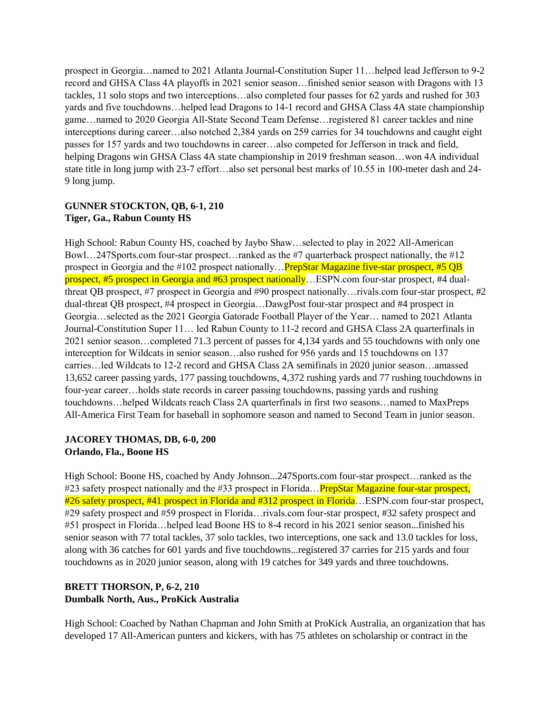prospect in Georgia…named to 2021 Atlanta Journal-Constitution Super 11…helped lead Jefferson to 9-2 record and GHSA Class 4A playoffs in 2021 senior season…finished senior season with Dragons with 13 tackles, 11 solo stops and two interceptions…also completed four passes for 62 yards and rushed for 303 yards and five touchdowns…helped lead Dragons to 14-1 record and GHSA Class 4A state championship game…named to 2020 Georgia All-State Second Team Defense…registered 81 career tackles and nine interceptions during career…also notched 2,384 yards on 259 carries for 34 touchdowns and caught eight passes for 157 yards and two touchdowns in career…also competed for Jefferson in track and field, helping Dragons win GHSA Class 4A state championship in 2019 freshman season...won 4A individual state title in long jump with 23-7 effort…also set personal best marks of 10.55 in 100-meter dash and 24- 9 long jump.

## **GUNNER STOCKTON, QB, 6-1, 210 Tiger, Ga., Rabun County HS**

High School: Rabun County HS, coached by Jaybo Shaw…selected to play in 2022 All-American Bowl…247Sports.com four-star prospect…ranked as the #7 quarterback prospect nationally, the #12 prospect in Georgia and the #102 prospect nationally… PrepStar Magazine five-star prospect, #5 QB prospect, #5 prospect in Georgia and #63 prospect nationally…ESPN.com four-star prospect, #4 dualthreat QB prospect, #7 prospect in Georgia and #90 prospect nationally…rivals.com four-star prospect, #2 dual-threat QB prospect, #4 prospect in Georgia…DawgPost four-star prospect and #4 prospect in Georgia…selected as the 2021 Georgia Gatorade Football Player of the Year… named to 2021 Atlanta Journal-Constitution Super 11… led Rabun County to 11-2 record and GHSA Class 2A quarterfinals in 2021 senior season…completed 71.3 percent of passes for 4,134 yards and 55 touchdowns with only one interception for Wildcats in senior season…also rushed for 956 yards and 15 touchdowns on 137 carries…led Wildcats to 12-2 record and GHSA Class 2A semifinals in 2020 junior season…amassed 13,652 career passing yards, 177 passing touchdowns, 4,372 rushing yards and 77 rushing touchdowns in four-year career…holds state records in career passing touchdowns, passing yards and rushing touchdowns…helped Wildcats reach Class 2A quarterfinals in first two seasons…named to MaxPreps All-America First Team for baseball in sophomore season and named to Second Team in junior season.

## **JACOREY THOMAS, DB, 6-0, 200 Orlando, Fla., Boone HS**

High School: Boone HS, coached by Andy Johnson...247Sports.com four-star prospect…ranked as the #23 safety prospect nationally and the #33 prospect in Florida... PrepStar Magazine four-star prospect, #26 safety prospect, #41 prospect in Florida and #312 prospect in Florida...ESPN.com four-star prospect, #29 safety prospect and #59 prospect in Florida…rivals.com four-star prospect, #32 safety prospect and #51 prospect in Florida…helped lead Boone HS to 8-4 record in his 2021 senior season...finished his senior season with 77 total tackles, 37 solo tackles, two interceptions, one sack and 13.0 tackles for loss, along with 36 catches for 601 yards and five touchdowns...registered 37 carries for 215 yards and four touchdowns as in 2020 junior season, along with 19 catches for 349 yards and three touchdowns.

## **BRETT THORSON, P, 6-2, 210 Dumbalk North, Aus., ProKick Australia**

High School: Coached by Nathan Chapman and John Smith at ProKick Australia, an organization that has developed 17 All-American punters and kickers, with has 75 athletes on scholarship or contract in the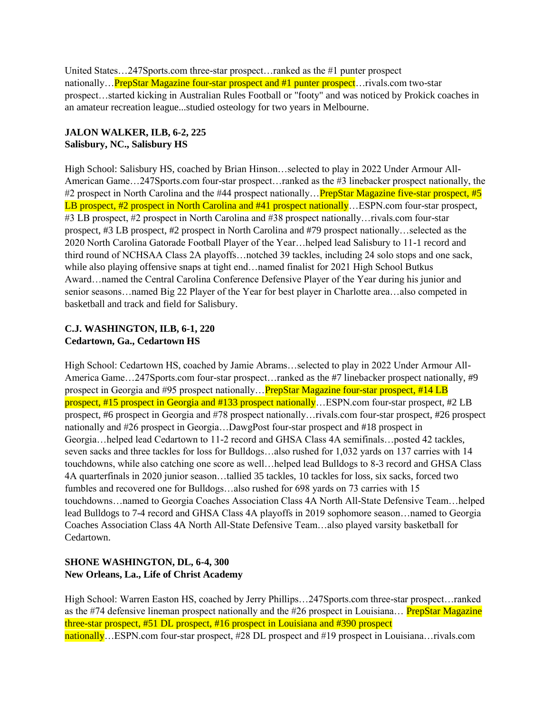United States…247Sports.com three-star prospect…ranked as the #1 punter prospect nationally…PrepStar Magazine four-star prospect and #1 punter prospect…rivals.com two-star prospect…started kicking in Australian Rules Football or "footy" and was noticed by Prokick coaches in an amateur recreation league...studied osteology for two years in Melbourne.

# **JALON WALKER, ILB, 6-2, 225 Salisbury, NC., Salisbury HS**

High School: Salisbury HS, coached by Brian Hinson…selected to play in 2022 Under Armour All-American Game…247Sports.com four-star prospect…ranked as the #3 linebacker prospect nationally, the #2 prospect in North Carolina and the #44 prospect nationally... **PrepStar Magazine five-star prospect**, #5 LB prospect, #2 prospect in North Carolina and #41 prospect nationally... ESPN.com four-star prospect, #3 LB prospect, #2 prospect in North Carolina and #38 prospect nationally…rivals.com four-star prospect, #3 LB prospect, #2 prospect in North Carolina and #79 prospect nationally…selected as the 2020 North Carolina Gatorade Football Player of the Year…helped lead Salisbury to 11-1 record and third round of NCHSAA Class 2A playoffs…notched 39 tackles, including 24 solo stops and one sack, while also playing offensive snaps at tight end…named finalist for 2021 High School Butkus Award…named the Central Carolina Conference Defensive Player of the Year during his junior and senior seasons…named Big 22 Player of the Year for best player in Charlotte area…also competed in basketball and track and field for Salisbury.

# **C.J. WASHINGTON, ILB, 6-1, 220 Cedartown, Ga., Cedartown HS**

High School: Cedartown HS, coached by Jamie Abrams…selected to play in 2022 Under Armour All-America Game…247Sports.com four-star prospect…ranked as the #7 linebacker prospect nationally, #9 prospect in Georgia and #95 prospect nationally…PrepStar Magazine four-star prospect, #14 LB prospect, #15 prospect in Georgia and #133 prospect nationally…ESPN.com four-star prospect, #2 LB prospect, #6 prospect in Georgia and #78 prospect nationally…rivals.com four-star prospect, #26 prospect nationally and #26 prospect in Georgia…DawgPost four-star prospect and #18 prospect in Georgia…helped lead Cedartown to 11-2 record and GHSA Class 4A semifinals…posted 42 tackles, seven sacks and three tackles for loss for Bulldogs…also rushed for 1,032 yards on 137 carries with 14 touchdowns, while also catching one score as well…helped lead Bulldogs to 8-3 record and GHSA Class 4A quarterfinals in 2020 junior season…tallied 35 tackles, 10 tackles for loss, six sacks, forced two fumbles and recovered one for Bulldogs…also rushed for 698 yards on 73 carries with 15 touchdowns…named to Georgia Coaches Association Class 4A North All-State Defensive Team…helped lead Bulldogs to 7-4 record and GHSA Class 4A playoffs in 2019 sophomore season…named to Georgia Coaches Association Class 4A North All-State Defensive Team…also played varsity basketball for Cedartown.

## **SHONE WASHINGTON, DL, 6-4, 300 New Orleans, La., Life of Christ Academy**

High School: Warren Easton HS, coached by Jerry Phillips…247Sports.com three-star prospect…ranked as the #74 defensive lineman prospect nationally and the #26 prospect in Louisiana... PrepStar Magazine three-star prospect, #51 DL prospect, #16 prospect in Louisiana and #390 prospect nationally…ESPN.com four-star prospect, #28 DL prospect and #19 prospect in Louisiana…rivals.com